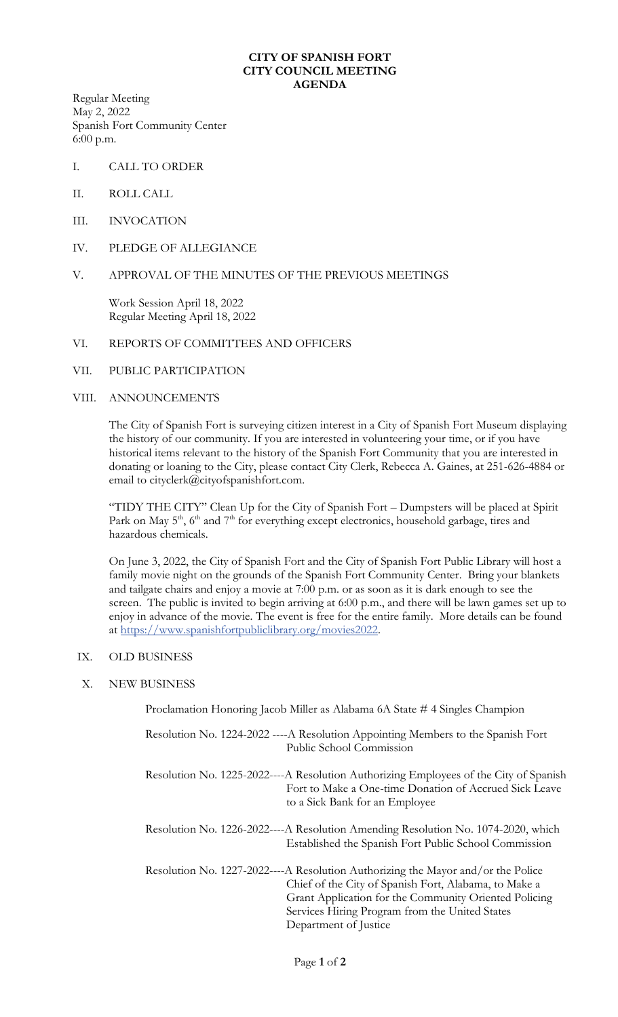## **CITY OF SPANISH FORT CITY COUNCIL MEETING AGENDA**

Regular Meeting May 2, 2022 Spanish Fort Community Center 6:00 p.m.

- I. CALL TO ORDER
- II. ROLL CALL
- III. INVOCATION
- IV. PLEDGE OF ALLEGIANCE

# V. APPROVAL OF THE MINUTES OF THE PREVIOUS MEETINGS

Work Session April 18, 2022 Regular Meeting April 18, 2022

#### VI. REPORTS OF COMMITTEES AND OFFICERS

# VII. PUBLIC PARTICIPATION

# VIII. ANNOUNCEMENTS

The City of Spanish Fort is surveying citizen interest in a City of Spanish Fort Museum displaying the history of our community. If you are interested in volunteering your time, or if you have historical items relevant to the history of the Spanish Fort Community that you are interested in donating or loaning to the City, please contact City Clerk, Rebecca A. Gaines, at 251-626-4884 or email to cityclerk@cityofspanishfort.com.

"TIDY THE CITY" Clean Up for the City of Spanish Fort – Dumpsters will be placed at Spirit Park on May 5<sup>th</sup>, 6<sup>th</sup> and 7<sup>th</sup> for everything except electronics, household garbage, tires and hazardous chemicals.

On June 3, 2022, the City of Spanish Fort and the City of Spanish Fort Public Library will host a family movie night on the grounds of the Spanish Fort Community Center. Bring your blankets and tailgate chairs and enjoy a movie at 7:00 p.m. or as soon as it is dark enough to see the screen. The public is invited to begin arriving at 6:00 p.m., and there will be lawn games set up to enjoy in advance of the movie. The event is free for the entire family. More details can be found at [https://www.spanishfortpubliclibrary.org/movies2022.](https://www.spanishfortpubliclibrary.org/movies2022)

#### IX. OLD BUSINESS

#### X. NEW BUSINESS

Proclamation Honoring Jacob Miller as Alabama 6A State # 4 Singles Champion

- Resolution No. 1224-2022 ----A Resolution Appointing Members to the Spanish Fort Public School Commission
- Resolution No. 1225-2022----A Resolution Authorizing Employees of the City of Spanish Fort to Make a One-time Donation of Accrued Sick Leave to a Sick Bank for an Employee
- Resolution No. 1226-2022----A Resolution Amending Resolution No. 1074-2020, which Established the Spanish Fort Public School Commission
- Resolution No. 1227-2022----A Resolution Authorizing the Mayor and/or the Police Chief of the City of Spanish Fort, Alabama, to Make a Grant Application for the Community Oriented Policing Services Hiring Program from the United States Department of Justice